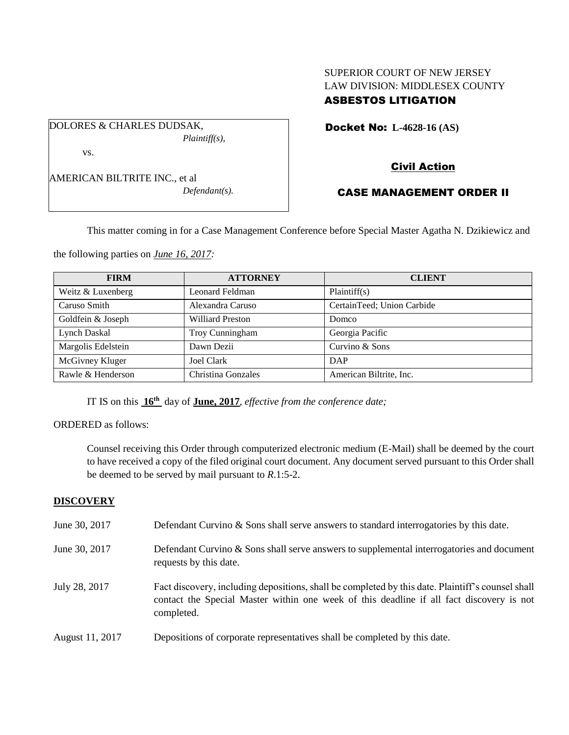# SUPERIOR COURT OF NEW JERSEY LAW DIVISION: MIDDLESEX COUNTY ASBESTOS LITIGATION

Docket No: **L-4628-16 (AS)** 

AMERICAN BILTRITE INC., et al

vs.

DOLORES & CHARLES DUDSAK,

*Defendant(s).*

*Plaintiff(s),*

# Civil Action

# CASE MANAGEMENT ORDER II

This matter coming in for a Case Management Conference before Special Master Agatha N. Dzikiewicz and

the following parties on *June 16, 2017:*

| <b>FIRM</b>        | <b>ATTORNEY</b>         | <b>CLIENT</b>              |  |
|--------------------|-------------------------|----------------------------|--|
| Weitz & Luxenberg  | Leonard Feldman         | Plaintiff(s)               |  |
| Caruso Smith       | Alexandra Caruso        | CertainTeed; Union Carbide |  |
| Goldfein & Joseph  | <b>Williard Preston</b> | <b>Domco</b>               |  |
| Lynch Daskal       | Troy Cunningham         | Georgia Pacific            |  |
| Margolis Edelstein | Dawn Dezii              | Curvino & Sons             |  |
| McGivney Kluger    | Joel Clark              | DAP                        |  |
| Rawle & Henderson  | Christina Gonzales      | American Biltrite, Inc.    |  |

IT IS on this **16th** day of **June, 2017**, *effective from the conference date;*

ORDERED as follows:

Counsel receiving this Order through computerized electronic medium (E-Mail) shall be deemed by the court to have received a copy of the filed original court document. Any document served pursuant to this Order shall be deemed to be served by mail pursuant to *R*.1:5-2.

## **DISCOVERY**

| June 30, 2017   | Defendant Curvino & Sons shall serve answers to standard interrogatories by this date.                                                                                                                      |
|-----------------|-------------------------------------------------------------------------------------------------------------------------------------------------------------------------------------------------------------|
| June 30, 2017   | Defendant Curvino & Sons shall serve answers to supplemental interrogatories and document<br>requests by this date.                                                                                         |
| July 28, 2017   | Fact discovery, including depositions, shall be completed by this date. Plaintiff's counsel shall<br>contact the Special Master within one week of this deadline if all fact discovery is not<br>completed. |
| August 11, 2017 | Depositions of corporate representatives shall be completed by this date.                                                                                                                                   |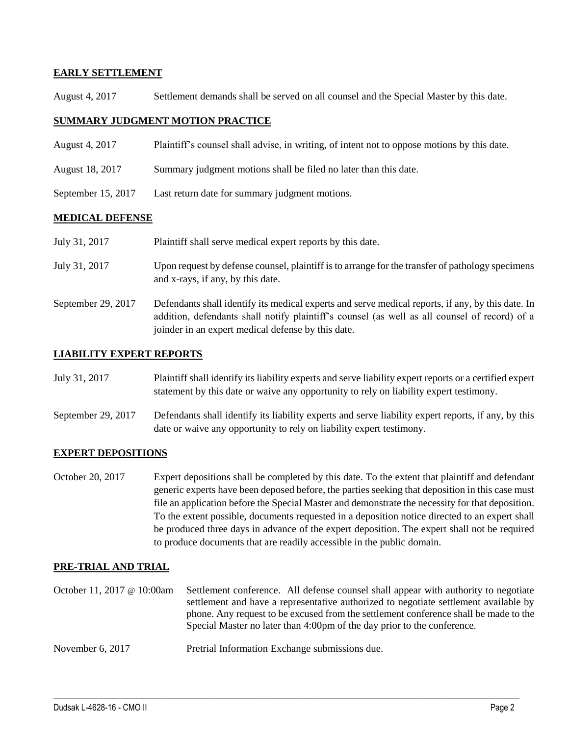## **EARLY SETTLEMENT**

August 4, 2017 Settlement demands shall be served on all counsel and the Special Master by this date.

### **SUMMARY JUDGMENT MOTION PRACTICE**

- August 4, 2017 Plaintiff's counsel shall advise, in writing, of intent not to oppose motions by this date.
- August 18, 2017 Summary judgment motions shall be filed no later than this date.
- September 15, 2017 Last return date for summary judgment motions.

#### **MEDICAL DEFENSE**

| July 31, 2017 | Plaintiff shall serve medical expert reports by this date. |  |
|---------------|------------------------------------------------------------|--|
|               |                                                            |  |

- July 31, 2017 Upon request by defense counsel, plaintiff is to arrange for the transfer of pathology specimens and x-rays, if any, by this date.
- September 29, 2017 Defendants shall identify its medical experts and serve medical reports, if any, by this date. In addition, defendants shall notify plaintiff's counsel (as well as all counsel of record) of a joinder in an expert medical defense by this date.

### **LIABILITY EXPERT REPORTS**

- July 31, 2017 Plaintiff shall identify its liability experts and serve liability expert reports or a certified expert statement by this date or waive any opportunity to rely on liability expert testimony.
- September 29, 2017 Defendants shall identify its liability experts and serve liability expert reports, if any, by this date or waive any opportunity to rely on liability expert testimony.

## **EXPERT DEPOSITIONS**

October 20, 2017 Expert depositions shall be completed by this date. To the extent that plaintiff and defendant generic experts have been deposed before, the parties seeking that deposition in this case must file an application before the Special Master and demonstrate the necessity for that deposition. To the extent possible, documents requested in a deposition notice directed to an expert shall be produced three days in advance of the expert deposition. The expert shall not be required to produce documents that are readily accessible in the public domain.

#### **PRE-TRIAL AND TRIAL**

October 11, 2017 @ 10:00am Settlement conference. All defense counsel shall appear with authority to negotiate settlement and have a representative authorized to negotiate settlement available by phone. Any request to be excused from the settlement conference shall be made to the Special Master no later than 4:00pm of the day prior to the conference.

 $\_$  ,  $\_$  ,  $\_$  ,  $\_$  ,  $\_$  ,  $\_$  ,  $\_$  ,  $\_$  ,  $\_$  ,  $\_$  ,  $\_$  ,  $\_$  ,  $\_$  ,  $\_$  ,  $\_$  ,  $\_$  ,  $\_$  ,  $\_$  ,  $\_$  ,  $\_$  ,  $\_$  ,  $\_$  ,  $\_$  ,  $\_$  ,  $\_$  ,  $\_$  ,  $\_$  ,  $\_$  ,  $\_$  ,  $\_$  ,  $\_$  ,  $\_$  ,  $\_$  ,  $\_$  ,  $\_$  ,  $\_$  ,  $\_$  ,

November 6, 2017 Pretrial Information Exchange submissions due.